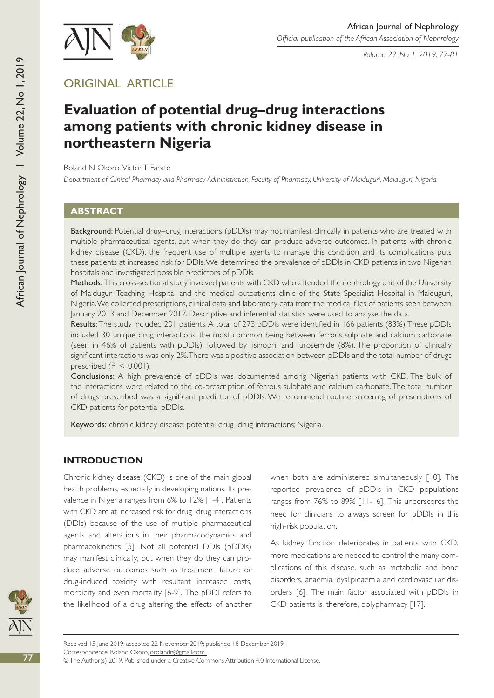

*Volume 22, No 1, 2019, 77-81*

## Original article

# **Evaluation of potential drug–drug interactions among patients with chronic kidney disease in northeastern Nigeria**

Roland N Okoro, Victor T Farate

*Department of Clinical Pharmacy and Pharmacy Administration, Faculty of Pharmacy, University of Maiduguri, Maiduguri, Nigeria.* 

## **Abstract**

Background: Potential drug-drug interactions (pDDIs) may not manifest clinically in patients who are treated with multiple pharmaceutical agents, but when they do they can produce adverse outcomes. In patients with chronic kidney disease (CKD), the frequent use of multiple agents to manage this condition and its complications puts these patients at increased risk for DDIs. We determined the prevalence of pDDIs in CKD patients in two Nigerian hospitals and investigated possible predictors of pDDIs.

Methods: This cross-sectional study involved patients with CKD who attended the nephrology unit of the University of Maiduguri Teaching Hospital and the medical outpatients clinic of the State Specialist Hospital in Maiduguri, Nigeria. We collected prescriptions, clinical data and laboratory data from the medical files of patients seen between January 2013 and December 2017. Descriptive and inferential statistics were used to analyse the data.

Results: The study included 201 patients. A total of 273 pDDIs were identified in 166 patients (83%). These pDDIs included 30 unique drug interactions, the most common being between ferrous sulphate and calcium carbonate (seen in 46% of patients with pDDIs), followed by lisinopril and furosemide (8%). The proportion of clinically significant interactions was only 2%. There was a positive association between pDDIs and the total number of drugs prescribed  $(P < 0.001)$ .

Conclusions: A high prevalence of pDDIs was documented among Nigerian patients with CKD. The bulk of the interactions were related to the co-prescription of ferrous sulphate and calcium carbonate. The total number of drugs prescribed was a significant predictor of pDDIs. We recommend routine screening of prescriptions of CKD patients for potential pDDIs.

Keywords: chronic kidney disease; potential drug-drug interactions; Nigeria.

## **INTRODUCTION**

Chronic kidney disease (CKD) is one of the main global health problems, especially in developing nations. Its prevalence in Nigeria ranges from 6% to 12% [1-4]. Patients with CKD are at increased risk for drug–drug interactions (DDIs) because of the use of multiple pharmaceutical agents and alterations in their pharmacodynamics and pharmacokinetics [5]. Not all potential DDIs (pDDIs) may manifest clinically, but when they do they can produce adverse outcomes such as treatment failure or drug-induced toxicity with resultant increased costs, morbidity and even mortality [6-9]. The pDDI refers to the likelihood of a drug altering the effects of another when both are administered simultaneously [10]. The reported prevalence of pDDIs in CKD populations ranges from 76% to 89% [11-16]. This underscores the need for clinicians to always screen for pDDIs in this high-risk population.

As kidney function deteriorates in patients with CKD, more medications are needed to control the many complications of this disease, such as metabolic and bone disorders, anaemia, dyslipidaemia and cardiovascular disorders [6]. The main factor associated with pDDIs in CKD patients is, therefore, polypharmacy [17].



African Journal of

Nephrology I Volume 22,

African Journal of Nephrology | Volume 22, No 1, 2019

No 1, 2019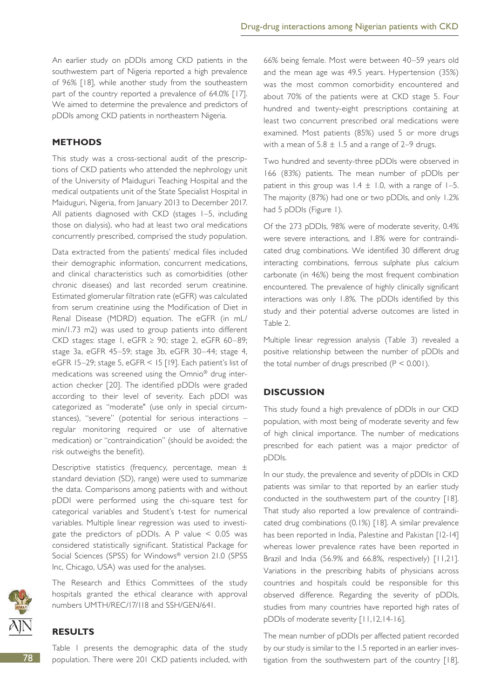An earlier study on pDDIs among CKD patients in the southwestern part of Nigeria reported a high prevalence of 96% [18], while another study from the southeastern part of the country reported a prevalence of 64.0% [17]. We aimed to determine the prevalence and predictors of pDDIs among CKD patients in northeastern Nigeria.

## **METHODS**

This study was a cross-sectional audit of the prescriptions of CKD patients who attended the nephrology unit of the University of Maiduguri Teaching Hospital and the medical outpatients unit of the State Specialist Hospital in Maiduguri, Nigeria, from January 2013 to December 2017. All patients diagnosed with CKD (stages 1–5, including those on dialysis), who had at least two oral medications concurrently prescribed, comprised the study population.

Data extracted from the patients' medical files included their demographic information, concurrent medications, and clinical characteristics such as comorbidities (other chronic diseases) and last recorded serum creatinine. Estimated glomerular filtration rate (eGFR) was calculated from serum creatinine using the Modification of Diet in Renal Disease (MDRD) equation. The eGFR (in mL/ min/1.73 m2) was used to group patients into different CKD stages: stage 1, eGFR  $\geq$  90; stage 2, eGFR 60-89; stage 3a, eGFR 45–59; stage 3b, eGFR 30–44; stage 4, eGFR 15–29; stage 5, eGFR < 15 [19]. Each patient's list of medications was screened using the Omnio® drug interaction checker [20]. The identified pDDIs were graded according to their level of severity. Each pDDI was categorized as "moderate" (use only in special circumstances), "severe" (potential for serious interactions – regular monitoring required or use of alternative medication) or "contraindication" (should be avoided; the risk outweighs the benefit).

Descriptive statistics (frequency, percentage, mean ± standard deviation (SD), range) were used to summarize the data. Comparisons among patients with and without pDDI were performed using the chi-square test for categorical variables and Student's t-test for numerical variables. Multiple linear regression was used to investigate the predictors of pDDIs. A P value < 0.05 was considered statistically significant. Statistical Package for Social Sciences (SPSS) for Windows® version 21.0 (SPSS Inc, Chicago, USA) was used for the analyses.



The Research and Ethics Committees of the study hospitals granted the ethical clearance with approval numbers UMTH/REC/17/118 and SSH/GEN/641.

#### **RESULTS**

Table 1 presents the demographic data of the study population. There were 201 CKD patients included, with 66% being female. Most were between 40–59 years old and the mean age was 49.5 years. Hypertension (35%) was the most common comorbidity encountered and about 70% of the patients were at CKD stage 5. Four hundred and twenty-eight prescriptions containing at least two concurrent prescribed oral medications were examined. Most patients (85%) used 5 or more drugs with a mean of  $5.8 \pm 1.5$  and a range of 2–9 drugs.

Two hundred and seventy-three pDDIs were observed in 166 (83%) patients. The mean number of pDDIs per patient in this group was  $1.4 \pm 1.0$ , with a range of  $1-5$ . The majority (87%) had one or two pDDIs, and only 1.2% had 5 pDDIs (Figure 1).

Of the 273 pDDIs, 98% were of moderate severity, 0.4% were severe interactions, and 1.8% were for contraindicated drug combinations. We identified 30 different drug interacting combinations, ferrous sulphate plus calcium carbonate (in 46%) being the most frequent combination encountered. The prevalence of highly clinically significant interactions was only 1.8%. The pDDIs identified by this study and their potential adverse outcomes are listed in Table 2.

Multiple linear regression analysis (Table 3) revealed a positive relationship between the number of pDDIs and the total number of drugs prescribed  $(P < 0.001)$ .

#### **DISCUSSION**

This study found a high prevalence of pDDIs in our CKD population, with most being of moderate severity and few of high clinical importance. The number of medications prescribed for each patient was a major predictor of pDDIs.

In our study, the prevalence and severity of pDDIs in CKD patients was similar to that reported by an earlier study conducted in the southwestern part of the country [18]. That study also reported a low prevalence of contraindicated drug combinations (0.1%) [18]. A similar prevalence has been reported in India, Palestine and Pakistan [12-14] whereas lower prevalence rates have been reported in Brazil and India (56.9% and 66.8%, respectively) [11,21]. Variations in the prescribing habits of physicians across countries and hospitals could be responsible for this observed difference. Regarding the severity of pDDIs, studies from many countries have reported high rates of pDDIs of moderate severity [11,12,14-16].

The mean number of pDDIs per affected patient recorded by our study is similar to the 1.5 reported in an earlier investigation from the southwestern part of the country [18],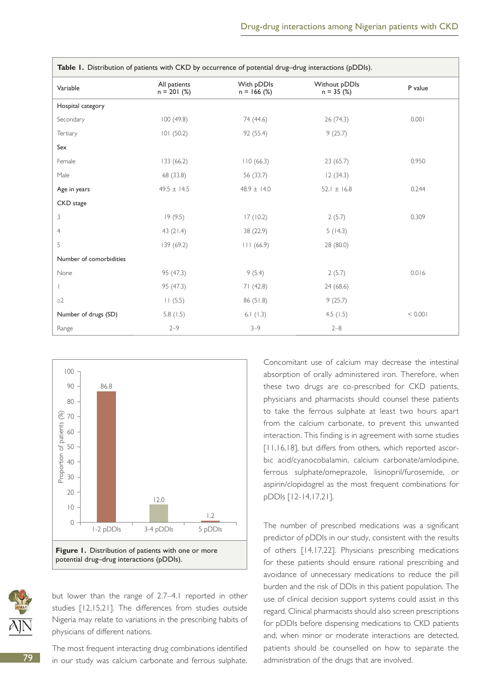| Table 1. Distribution of patients with CKD by occurrence of potential drug-drug interactions (pDDIs). |                               |                             |                              |         |
|-------------------------------------------------------------------------------------------------------|-------------------------------|-----------------------------|------------------------------|---------|
| Variable                                                                                              | All patients<br>$n = 201$ (%) | With pDDIs<br>$n = 166$ (%) | Without pDDIs<br>$n = 35(%)$ | P value |
| Hospital category                                                                                     |                               |                             |                              |         |
| Secondary                                                                                             | 100(49.8)                     | 74 (44.6)                   | 26 (74.3)                    | 0.001   |
| Tertiary                                                                                              | 101(50.2)                     | 92 (55.4)                   | 9(25.7)                      |         |
| Sex                                                                                                   |                               |                             |                              |         |
| Female                                                                                                | 133(66.2)                     | 110(66.3)                   | 23(65.7)                     | 0.950   |
| Male                                                                                                  | 68 (33.8)                     | 56 (33.7)                   | 12(34.3)                     |         |
| Age in years                                                                                          | $49.5 \pm 14.5$               | $48.9 \pm 14.0$             | 52.1 $\pm$ 16.8              | 0.244   |
| CKD stage                                                                                             |                               |                             |                              |         |
| 3                                                                                                     | 19(9.5)                       | 17(10.2)                    | 2(5.7)                       | 0.309   |
| $\overline{4}$                                                                                        | 43 $(21.4)$                   | 38 (22.9)                   | 5(14.3)                      |         |
| 5                                                                                                     | 139 (69.2)                    | 111(66.9)                   | 28 (80.0)                    |         |
| Number of comorbidities                                                                               |                               |                             |                              |         |
| None                                                                                                  | 95 (47.3)                     | 9(5.4)                      | 2(5.7)                       | 0.016   |
| $\mathbf{L}$                                                                                          | 95 (47.3)                     | 71(42.8)                    | 24 (68.6)                    |         |
| $\geq$ 2                                                                                              | 11(5.5)                       | 86(51.8)                    | 9(25.7)                      |         |
| Number of drugs (SD)                                                                                  | 5.8(1.5)                      | 6.1(1.3)                    | 4.5(1.5)                     | < 0.001 |
| Range                                                                                                 | $2 - 9$                       | $3 - 9$                     | $2 - 8$                      |         |





but lower than the range of 2.7–4.1 reported in other studies [12,15,21]. The differences from studies outside Nigeria may relate to variations in the prescribing habits of physicians of different nations.

The most frequent interacting drug combinations identified in our study was calcium carbonate and ferrous sulphate. Concomitant use of calcium may decrease the intestinal absorption of orally administered iron. Therefore, when these two drugs are co-prescribed for CKD patients, physicians and pharmacists should counsel these patients to take the ferrous sulphate at least two hours apart from the calcium carbonate, to prevent this unwanted interaction. This finding is in agreement with some studies [11,16,18], but differs from others, which reported ascorbic acid/cyanocobalamin, calcium carbonate/amlodipine, ferrous sulphate/omeprazole, lisinopril/furosemide, or aspirin/clopidogrel as the most frequent combinations for pDDIs [12-14,17,21].

The number of prescribed medications was a significant predictor of pDDIs in our study, consistent with the results of others [14,17,22]. Physicians prescribing medications for these patients should ensure rational prescribing and avoidance of unnecessary medications to reduce the pill burden and the risk of DDIs in this patient population. The use of clinical decision support systems could assist in this regard. Clinical pharmacists should also screen prescriptions for pDDIs before dispensing medications to CKD patients and, when minor or moderate interactions are detected, patients should be counselled on how to separate the administration of the drugs that are involved.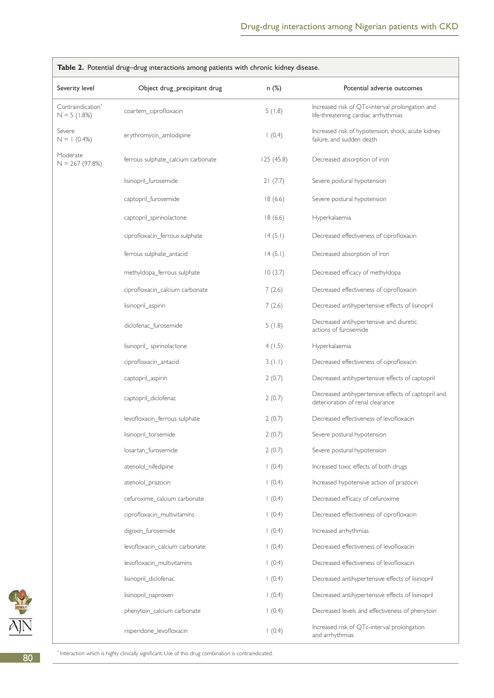| <b>rable 2.</b> Fotential drug-drug interactions among patients with chronic kidney disease. |                                    |           |                                                                                         |  |  |  |
|----------------------------------------------------------------------------------------------|------------------------------------|-----------|-----------------------------------------------------------------------------------------|--|--|--|
| Severity level                                                                               | Object drug_precipitant drug       | n(%)      | Potential adverse outcomes                                                              |  |  |  |
| Contraindication <sup>®</sup><br>$N = 5(1.8%)$                                               | coartem_ciprofloxacin              | 5(1.8)    | Increased risk of QTc-interval prolongation and<br>life-threatening cardiac arrhythmias |  |  |  |
| Severe<br>$N = 1$ (0.4%)                                                                     | erythromycin_amlodipine            | (0.4)     | Increased risk of hypotension, shock, acute kidney<br>failure, and sudden death         |  |  |  |
| Moderate<br>$N = 267(97.8%)$                                                                 | ferrous sulphate_calcium carbonate | 125(45.8) | Decreased absorption of iron                                                            |  |  |  |
|                                                                                              | lisinopril_furosemide              | 21(7.7)   | Severe postural hypotension                                                             |  |  |  |
|                                                                                              | captopril_furosemide               | 18(6.6)   | Severe postural hypotension                                                             |  |  |  |
|                                                                                              | captopril_spirinolactone           | 18(6.6)   | Hyperkalaemia                                                                           |  |  |  |
|                                                                                              | ciprofloxacin_ferrous sulphate     | 14(5.1)   | Decreased effectiveness of ciprofloxacin                                                |  |  |  |
|                                                                                              | ferrous sulphate_antacid           | 14(5.1)   | Decreased absorption of iron                                                            |  |  |  |
|                                                                                              | methyldopa_ferrous sulphate        | 10(3.7)   | Decreased efficacy of methyldopa                                                        |  |  |  |
|                                                                                              | ciprofloxacin_calcium carbonate    | 7(2.6)    | Decreased effectiveness of ciprofloxacin                                                |  |  |  |
|                                                                                              | lisinopril_aspirin                 | 7(2.6)    | Decreased antihypertensive effects of lisinopril                                        |  |  |  |
|                                                                                              | diclofenac_furosemide              | 5(1.8)    | Decreased antihypertensive and diuretic<br>actions of furosemide                        |  |  |  |
|                                                                                              | lisinopril_spirinolactone          | 4(1.5)    | Hyperkalaemia                                                                           |  |  |  |
|                                                                                              | ciprofloxacin_antacid              | 3(1.1)    | Decreased effectiveness of ciprofloxacin                                                |  |  |  |
|                                                                                              | captopril_aspirin                  | 2(0.7)    | Decreased antihypertensive effects of captopril                                         |  |  |  |
|                                                                                              | captopril_diclofenac               | 2(0.7)    | Decreased antihypertensive effects of captopril and<br>deterioration of renal clearance |  |  |  |
|                                                                                              | levofloxacin_ferrous sulphate      | 2(0.7)    | Decreased effectiveness of levofloxacin                                                 |  |  |  |
|                                                                                              | lisinopril_torsemide               | 2(0.7)    | Severe postural hypotension                                                             |  |  |  |
|                                                                                              | losartan furosemide                | 2(0.7)    | Severe postural hypotension                                                             |  |  |  |
|                                                                                              | atenolol_nifedipine                | (0.4)     | Increased toxic effects of both drugs                                                   |  |  |  |
|                                                                                              | atenolol_prazocin                  | (0.4)     | Increased hypotensive action of prazocin                                                |  |  |  |
|                                                                                              | cefuroxime_calcium carbonate       | (0.4)     | Decreased efficacy of cefuroxime                                                        |  |  |  |
|                                                                                              | ciprofloxacin_multivitamins        | (0.4)     | Decreased effectiveness of ciprofloxacin                                                |  |  |  |
|                                                                                              | digoxin_furosemide                 | (0.4)     | Increased arrhythmias                                                                   |  |  |  |
|                                                                                              | levofloxacin calcium carbonate     | (0.4)     | Decreased effectiveness of levofloxacin                                                 |  |  |  |
|                                                                                              | levofloxacin_multivitamins         | (0.4)     | Decreased effectiveness of levofloxacin                                                 |  |  |  |
|                                                                                              | lisinopril_diclofenac              | (0.4)     | Decreased antihypertensive effects of lisinopril                                        |  |  |  |
|                                                                                              | lisinopril_naproxen                | (0.4)     | Decreased antihypertensive effects of lisinopril                                        |  |  |  |
|                                                                                              | phenytoin_calcium carbonate        | (0.4)     | Decreased levels and effectiveness of phenytoin                                         |  |  |  |
|                                                                                              | risperidone_levofloxacin           | 1(0.4)    | Increased risk of QTc-interval prolongation<br>and arrhythmias                          |  |  |  |

**Table 2.** Potential drug–drug ınteractions among patients with chronic kidney disease.



\* Interaction which is highly clinically significant. Use of this drug combination is contraindicated.